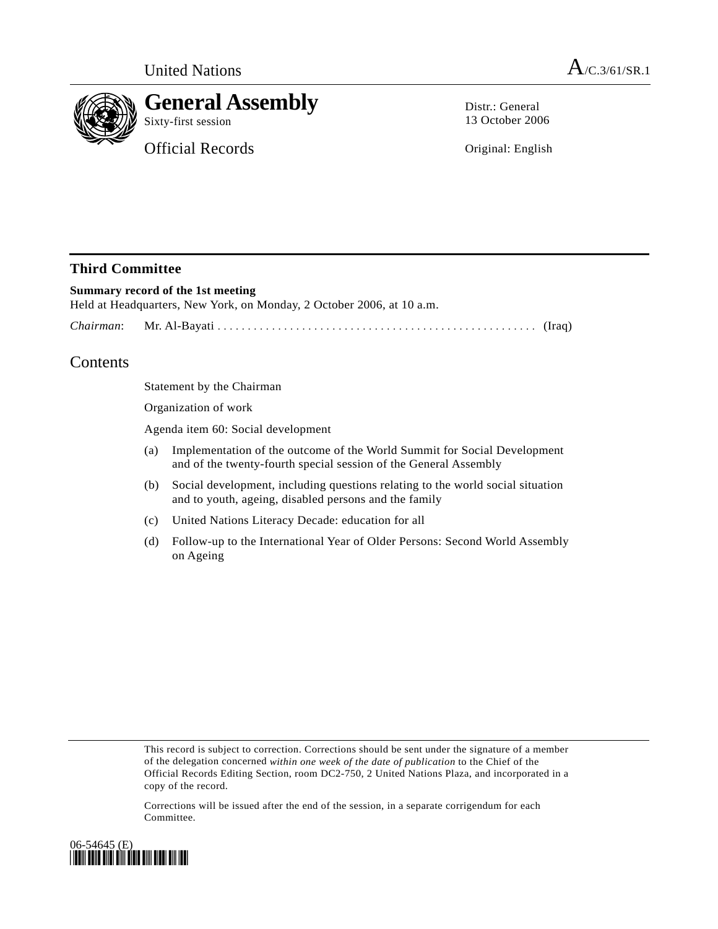

# **General Assembly**

Sixty-first session

Official Records

Distr.: General 13 October 2006

Original: English

### **Third Committee**

## **Summary record of the 1st meeting**  Held at Headquarters, New York, on Monday, 2 October 2006, at 10 a.m. *Chairman*: Mr. Al-Bayati ..................................................... (Iraq)

# Contents

Statement by the Chairman

Organization of work

Agenda item 60: Social development

- (a) Implementation of the outcome of the World Summit for Social Development and of the twenty-fourth special session of the General Assembly
- (b) Social development, including questions relating to the world social situation and to youth, ageing, disabled persons and the family
- (c) United Nations Literacy Decade: education for all
- (d) Follow-up to the International Year of Older Persons: Second World Assembly on Ageing

This record is subject to correction. Corrections should be sent under the signature of a member of the delegation concerned *within one week of the date of publication* to the Chief of the Official Records Editing Section, room DC2-750, 2 United Nations Plaza, and incorporated in a copy of the record.

Corrections will be issued after the end of the session, in a separate corrigendum for each Committee.

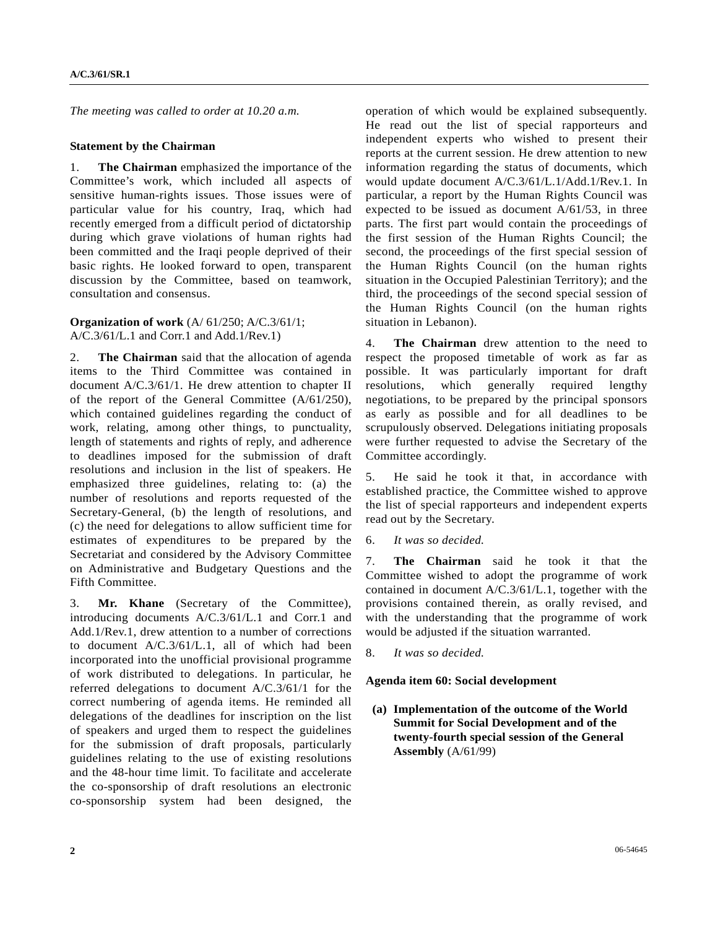*The meeting was called to order at 10.20 a.m.* 

### **Statement by the Chairman**

1. **The Chairman** emphasized the importance of the Committee's work, which included all aspects of sensitive human-rights issues. Those issues were of particular value for his country, Iraq, which had recently emerged from a difficult period of dictatorship during which grave violations of human rights had been committed and the Iraqi people deprived of their basic rights. He looked forward to open, transparent discussion by the Committee, based on teamwork, consultation and consensus.

**Organization of work** (A/ 61/250; A/C.3/61/1; A/C.3/61/L.1 and Corr.1 and Add.1/Rev.1)

2. **The Chairman** said that the allocation of agenda items to the Third Committee was contained in document A/C.3/61/1. He drew attention to chapter II of the report of the General Committee (A/61/250), which contained guidelines regarding the conduct of work, relating, among other things, to punctuality, length of statements and rights of reply, and adherence to deadlines imposed for the submission of draft resolutions and inclusion in the list of speakers. He emphasized three guidelines, relating to: (a) the number of resolutions and reports requested of the Secretary-General, (b) the length of resolutions, and (c) the need for delegations to allow sufficient time for estimates of expenditures to be prepared by the Secretariat and considered by the Advisory Committee on Administrative and Budgetary Questions and the Fifth Committee.

3. **Mr. Khane** (Secretary of the Committee), introducing documents A/C.3/61/L.1 and Corr.1 and Add.1/Rev.1, drew attention to a number of corrections to document A/C.3/61/L.1, all of which had been incorporated into the unofficial provisional programme of work distributed to delegations. In particular, he referred delegations to document A/C.3/61/1 for the correct numbering of agenda items. He reminded all delegations of the deadlines for inscription on the list of speakers and urged them to respect the guidelines for the submission of draft proposals, particularly guidelines relating to the use of existing resolutions and the 48-hour time limit. To facilitate and accelerate the co-sponsorship of draft resolutions an electronic co-sponsorship system had been designed, the

operation of which would be explained subsequently. He read out the list of special rapporteurs and independent experts who wished to present their reports at the current session. He drew attention to new information regarding the status of documents, which would update document A/C.3/61/L.1/Add.1/Rev.1. In particular, a report by the Human Rights Council was expected to be issued as document A/61/53, in three parts. The first part would contain the proceedings of the first session of the Human Rights Council; the second, the proceedings of the first special session of the Human Rights Council (on the human rights situation in the Occupied Palestinian Territory); and the third, the proceedings of the second special session of the Human Rights Council (on the human rights situation in Lebanon).

4. **The Chairman** drew attention to the need to respect the proposed timetable of work as far as possible. It was particularly important for draft resolutions, which generally required lengthy negotiations, to be prepared by the principal sponsors as early as possible and for all deadlines to be scrupulously observed. Delegations initiating proposals were further requested to advise the Secretary of the Committee accordingly.

5. He said he took it that, in accordance with established practice, the Committee wished to approve the list of special rapporteurs and independent experts read out by the Secretary.

6. *It was so decided.* 

7. **The Chairman** said he took it that the Committee wished to adopt the programme of work contained in document A/C.3/61/L.1, together with the provisions contained therein, as orally revised, and with the understanding that the programme of work would be adjusted if the situation warranted.

8. *It was so decided.*

#### **Agenda item 60: Social development**

 **(a) Implementation of the outcome of the World Summit for Social Development and of the twenty-fourth special session of the General Assembly** (A/61/99)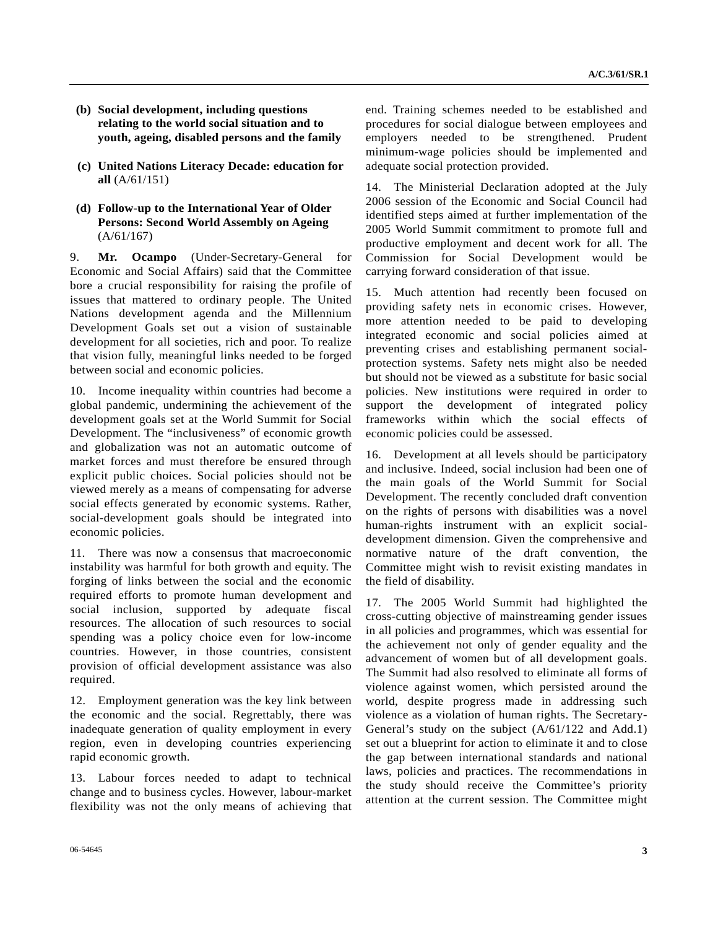- **(b) Social development, including questions relating to the world social situation and to youth, ageing, disabled persons and the family**
- **(c) United Nations Literacy Decade: education for all** (A/61/151)
- **(d) Follow-up to the International Year of Older Persons: Second World Assembly on Ageing**  (A/61/167)

9. **Mr. Ocampo** (Under-Secretary-General for Economic and Social Affairs) said that the Committee bore a crucial responsibility for raising the profile of issues that mattered to ordinary people. The United Nations development agenda and the Millennium Development Goals set out a vision of sustainable development for all societies, rich and poor. To realize that vision fully, meaningful links needed to be forged between social and economic policies.

10. Income inequality within countries had become a global pandemic, undermining the achievement of the development goals set at the World Summit for Social Development. The "inclusiveness" of economic growth and globalization was not an automatic outcome of market forces and must therefore be ensured through explicit public choices. Social policies should not be viewed merely as a means of compensating for adverse social effects generated by economic systems. Rather, social-development goals should be integrated into economic policies.

11. There was now a consensus that macroeconomic instability was harmful for both growth and equity. The forging of links between the social and the economic required efforts to promote human development and social inclusion, supported by adequate fiscal resources. The allocation of such resources to social spending was a policy choice even for low-income countries. However, in those countries, consistent provision of official development assistance was also required.

12. Employment generation was the key link between the economic and the social. Regrettably, there was inadequate generation of quality employment in every region, even in developing countries experiencing rapid economic growth.

13. Labour forces needed to adapt to technical change and to business cycles. However, labour-market flexibility was not the only means of achieving that end. Training schemes needed to be established and procedures for social dialogue between employees and employers needed to be strengthened. Prudent minimum-wage policies should be implemented and adequate social protection provided.

14. The Ministerial Declaration adopted at the July 2006 session of the Economic and Social Council had identified steps aimed at further implementation of the 2005 World Summit commitment to promote full and productive employment and decent work for all. The Commission for Social Development would be carrying forward consideration of that issue.

15. Much attention had recently been focused on providing safety nets in economic crises. However, more attention needed to be paid to developing integrated economic and social policies aimed at preventing crises and establishing permanent socialprotection systems. Safety nets might also be needed but should not be viewed as a substitute for basic social policies. New institutions were required in order to support the development of integrated policy frameworks within which the social effects of economic policies could be assessed.

16. Development at all levels should be participatory and inclusive. Indeed, social inclusion had been one of the main goals of the World Summit for Social Development. The recently concluded draft convention on the rights of persons with disabilities was a novel human-rights instrument with an explicit socialdevelopment dimension. Given the comprehensive and normative nature of the draft convention, the Committee might wish to revisit existing mandates in the field of disability.

17. The 2005 World Summit had highlighted the cross-cutting objective of mainstreaming gender issues in all policies and programmes, which was essential for the achievement not only of gender equality and the advancement of women but of all development goals. The Summit had also resolved to eliminate all forms of violence against women, which persisted around the world, despite progress made in addressing such violence as a violation of human rights. The Secretary-General's study on the subject (A/61/122 and Add.1) set out a blueprint for action to eliminate it and to close the gap between international standards and national laws, policies and practices. The recommendations in the study should receive the Committee's priority attention at the current session. The Committee might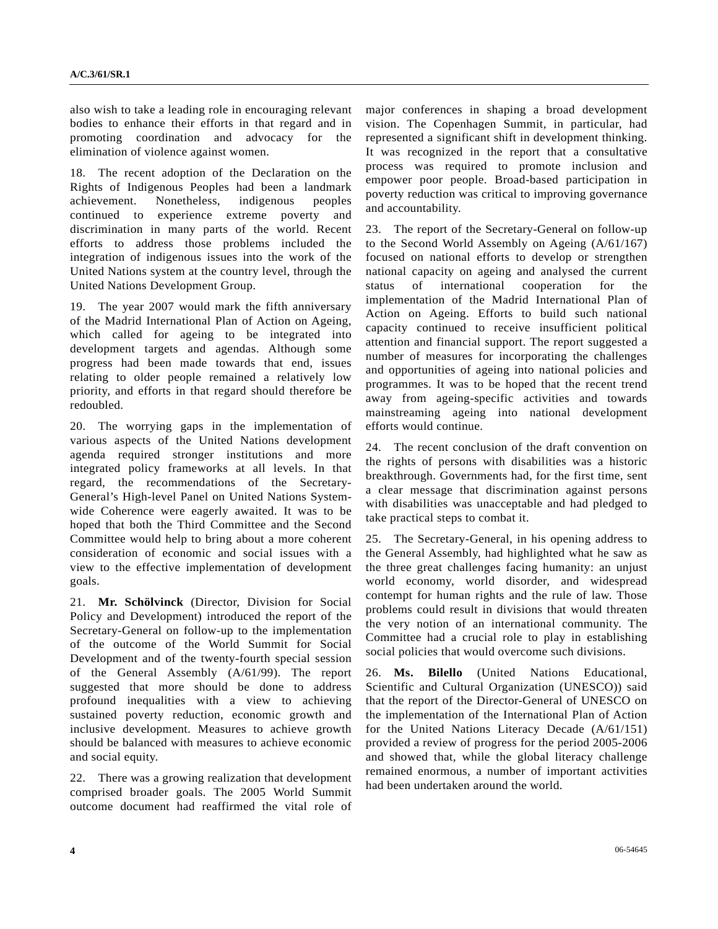also wish to take a leading role in encouraging relevant bodies to enhance their efforts in that regard and in promoting coordination and advocacy for the elimination of violence against women.

18. The recent adoption of the Declaration on the Rights of Indigenous Peoples had been a landmark achievement. Nonetheless, indigenous peoples continued to experience extreme poverty and discrimination in many parts of the world. Recent efforts to address those problems included the integration of indigenous issues into the work of the United Nations system at the country level, through the United Nations Development Group.

19. The year 2007 would mark the fifth anniversary of the Madrid International Plan of Action on Ageing, which called for ageing to be integrated into development targets and agendas. Although some progress had been made towards that end, issues relating to older people remained a relatively low priority, and efforts in that regard should therefore be redoubled.

20. The worrying gaps in the implementation of various aspects of the United Nations development agenda required stronger institutions and more integrated policy frameworks at all levels. In that regard, the recommendations of the Secretary-General's High-level Panel on United Nations Systemwide Coherence were eagerly awaited. It was to be hoped that both the Third Committee and the Second Committee would help to bring about a more coherent consideration of economic and social issues with a view to the effective implementation of development goals.

21. **Mr. Schölvinck** (Director, Division for Social Policy and Development) introduced the report of the Secretary-General on follow-up to the implementation of the outcome of the World Summit for Social Development and of the twenty-fourth special session of the General Assembly (A/61/99). The report suggested that more should be done to address profound inequalities with a view to achieving sustained poverty reduction, economic growth and inclusive development. Measures to achieve growth should be balanced with measures to achieve economic and social equity.

22. There was a growing realization that development comprised broader goals. The 2005 World Summit outcome document had reaffirmed the vital role of

major conferences in shaping a broad development vision. The Copenhagen Summit, in particular, had represented a significant shift in development thinking. It was recognized in the report that a consultative process was required to promote inclusion and empower poor people. Broad-based participation in poverty reduction was critical to improving governance and accountability.

23. The report of the Secretary-General on follow-up to the Second World Assembly on Ageing (A/61/167) focused on national efforts to develop or strengthen national capacity on ageing and analysed the current status of international cooperation for the implementation of the Madrid International Plan of Action on Ageing. Efforts to build such national capacity continued to receive insufficient political attention and financial support. The report suggested a number of measures for incorporating the challenges and opportunities of ageing into national policies and programmes. It was to be hoped that the recent trend away from ageing-specific activities and towards mainstreaming ageing into national development efforts would continue.

24. The recent conclusion of the draft convention on the rights of persons with disabilities was a historic breakthrough. Governments had, for the first time, sent a clear message that discrimination against persons with disabilities was unacceptable and had pledged to take practical steps to combat it.

25. The Secretary-General, in his opening address to the General Assembly, had highlighted what he saw as the three great challenges facing humanity: an unjust world economy, world disorder, and widespread contempt for human rights and the rule of law. Those problems could result in divisions that would threaten the very notion of an international community. The Committee had a crucial role to play in establishing social policies that would overcome such divisions.

26. **Ms. Bilello** (United Nations Educational, Scientific and Cultural Organization (UNESCO)) said that the report of the Director-General of UNESCO on the implementation of the International Plan of Action for the United Nations Literacy Decade (A/61/151) provided a review of progress for the period 2005-2006 and showed that, while the global literacy challenge remained enormous, a number of important activities had been undertaken around the world.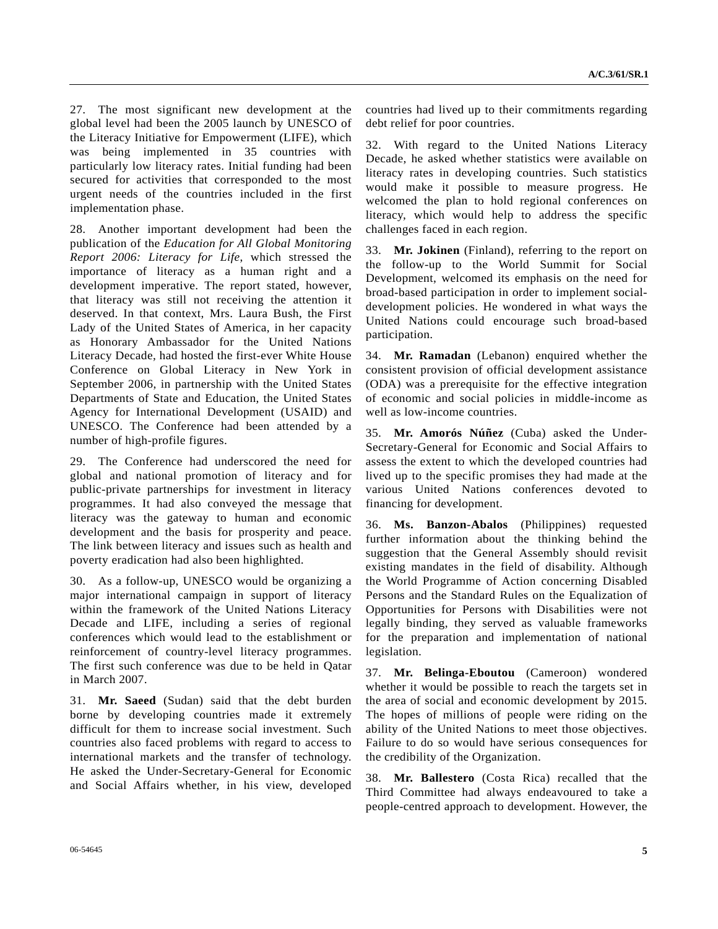27. The most significant new development at the global level had been the 2005 launch by UNESCO of the Literacy Initiative for Empowerment (LIFE), which was being implemented in 35 countries with particularly low literacy rates. Initial funding had been secured for activities that corresponded to the most urgent needs of the countries included in the first implementation phase.

28. Another important development had been the publication of the *Education for All Global Monitoring Report 2006: Literacy for Life*, which stressed the importance of literacy as a human right and a development imperative. The report stated, however, that literacy was still not receiving the attention it deserved. In that context, Mrs. Laura Bush, the First Lady of the United States of America, in her capacity as Honorary Ambassador for the United Nations Literacy Decade, had hosted the first-ever White House Conference on Global Literacy in New York in September 2006, in partnership with the United States Departments of State and Education, the United States Agency for International Development (USAID) and UNESCO. The Conference had been attended by a number of high-profile figures.

29. The Conference had underscored the need for global and national promotion of literacy and for public-private partnerships for investment in literacy programmes. It had also conveyed the message that literacy was the gateway to human and economic development and the basis for prosperity and peace. The link between literacy and issues such as health and poverty eradication had also been highlighted.

30. As a follow-up, UNESCO would be organizing a major international campaign in support of literacy within the framework of the United Nations Literacy Decade and LIFE, including a series of regional conferences which would lead to the establishment or reinforcement of country-level literacy programmes. The first such conference was due to be held in Qatar in March 2007.

31. **Mr. Saeed** (Sudan) said that the debt burden borne by developing countries made it extremely difficult for them to increase social investment. Such countries also faced problems with regard to access to international markets and the transfer of technology. He asked the Under-Secretary-General for Economic and Social Affairs whether, in his view, developed

countries had lived up to their commitments regarding debt relief for poor countries.

32. With regard to the United Nations Literacy Decade, he asked whether statistics were available on literacy rates in developing countries. Such statistics would make it possible to measure progress. He welcomed the plan to hold regional conferences on literacy, which would help to address the specific challenges faced in each region.

33. **Mr. Jokinen** (Finland), referring to the report on the follow-up to the World Summit for Social Development, welcomed its emphasis on the need for broad-based participation in order to implement socialdevelopment policies. He wondered in what ways the United Nations could encourage such broad-based participation.

34. **Mr. Ramadan** (Lebanon) enquired whether the consistent provision of official development assistance (ODA) was a prerequisite for the effective integration of economic and social policies in middle-income as well as low-income countries.

35. **Mr. Amorós Núñez** (Cuba) asked the Under-Secretary-General for Economic and Social Affairs to assess the extent to which the developed countries had lived up to the specific promises they had made at the various United Nations conferences devoted to financing for development.

36. **Ms. Banzon-Abalos** (Philippines) requested further information about the thinking behind the suggestion that the General Assembly should revisit existing mandates in the field of disability. Although the World Programme of Action concerning Disabled Persons and the Standard Rules on the Equalization of Opportunities for Persons with Disabilities were not legally binding, they served as valuable frameworks for the preparation and implementation of national legislation.

37. **Mr. Belinga-Eboutou** (Cameroon) wondered whether it would be possible to reach the targets set in the area of social and economic development by 2015. The hopes of millions of people were riding on the ability of the United Nations to meet those objectives. Failure to do so would have serious consequences for the credibility of the Organization.

38. **Mr. Ballestero** (Costa Rica) recalled that the Third Committee had always endeavoured to take a people-centred approach to development. However, the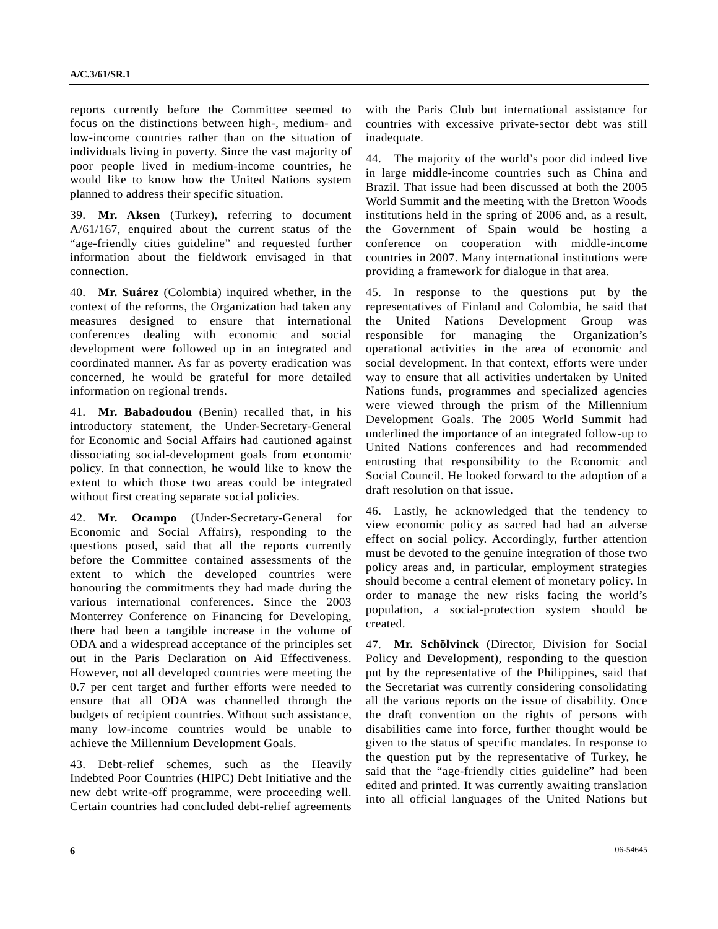reports currently before the Committee seemed to focus on the distinctions between high-, medium- and low-income countries rather than on the situation of individuals living in poverty. Since the vast majority of poor people lived in medium-income countries, he would like to know how the United Nations system planned to address their specific situation.

39. **Mr. Aksen** (Turkey), referring to document A/61/167, enquired about the current status of the "age-friendly cities guideline" and requested further information about the fieldwork envisaged in that connection.

40. **Mr. Suárez** (Colombia) inquired whether, in the context of the reforms, the Organization had taken any measures designed to ensure that international conferences dealing with economic and social development were followed up in an integrated and coordinated manner. As far as poverty eradication was concerned, he would be grateful for more detailed information on regional trends.

41. **Mr. Babadoudou** (Benin) recalled that, in his introductory statement, the Under-Secretary-General for Economic and Social Affairs had cautioned against dissociating social-development goals from economic policy. In that connection, he would like to know the extent to which those two areas could be integrated without first creating separate social policies.

42. **Mr. Ocampo** (Under-Secretary-General for Economic and Social Affairs), responding to the questions posed, said that all the reports currently before the Committee contained assessments of the extent to which the developed countries were honouring the commitments they had made during the various international conferences. Since the 2003 Monterrey Conference on Financing for Developing, there had been a tangible increase in the volume of ODA and a widespread acceptance of the principles set out in the Paris Declaration on Aid Effectiveness. However, not all developed countries were meeting the 0.7 per cent target and further efforts were needed to ensure that all ODA was channelled through the budgets of recipient countries. Without such assistance, many low-income countries would be unable to achieve the Millennium Development Goals.

43. Debt-relief schemes, such as the Heavily Indebted Poor Countries (HIPC) Debt Initiative and the new debt write-off programme, were proceeding well. Certain countries had concluded debt-relief agreements with the Paris Club but international assistance for countries with excessive private-sector debt was still inadequate.

44. The majority of the world's poor did indeed live in large middle-income countries such as China and Brazil. That issue had been discussed at both the 2005 World Summit and the meeting with the Bretton Woods institutions held in the spring of 2006 and, as a result, the Government of Spain would be hosting a conference on cooperation with middle-income countries in 2007. Many international institutions were providing a framework for dialogue in that area.

45. In response to the questions put by the representatives of Finland and Colombia, he said that the United Nations Development Group was responsible for managing the Organization's operational activities in the area of economic and social development. In that context, efforts were under way to ensure that all activities undertaken by United Nations funds, programmes and specialized agencies were viewed through the prism of the Millennium Development Goals. The 2005 World Summit had underlined the importance of an integrated follow-up to United Nations conferences and had recommended entrusting that responsibility to the Economic and Social Council. He looked forward to the adoption of a draft resolution on that issue.

46. Lastly, he acknowledged that the tendency to view economic policy as sacred had had an adverse effect on social policy. Accordingly, further attention must be devoted to the genuine integration of those two policy areas and, in particular, employment strategies should become a central element of monetary policy. In order to manage the new risks facing the world's population, a social-protection system should be created.

47. **Mr. Schölvinck** (Director, Division for Social Policy and Development), responding to the question put by the representative of the Philippines, said that the Secretariat was currently considering consolidating all the various reports on the issue of disability. Once the draft convention on the rights of persons with disabilities came into force, further thought would be given to the status of specific mandates. In response to the question put by the representative of Turkey, he said that the "age-friendly cities guideline" had been edited and printed. It was currently awaiting translation into all official languages of the United Nations but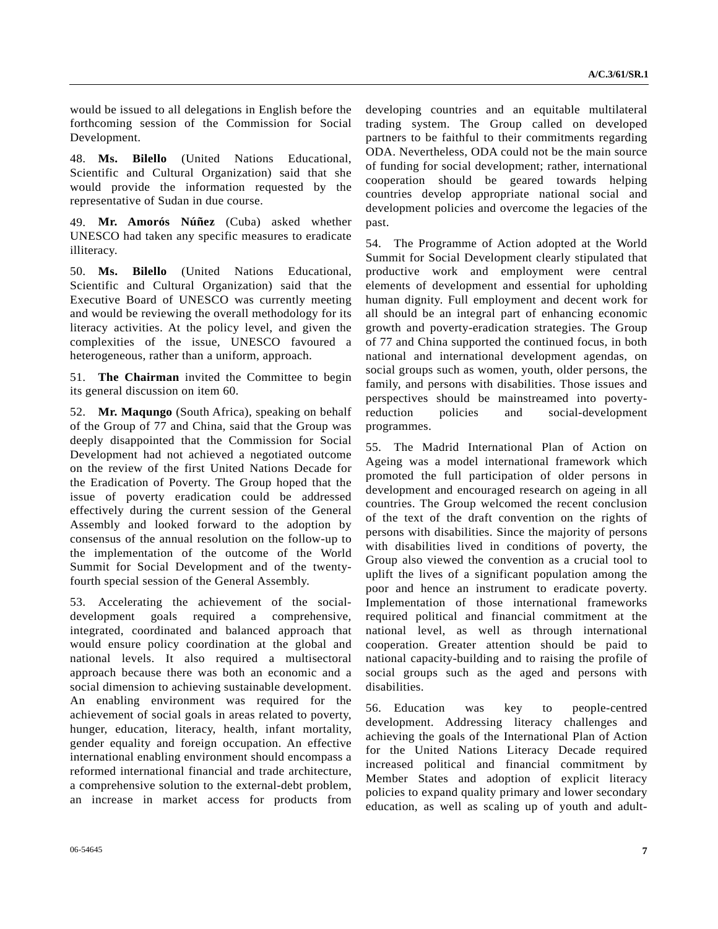would be issued to all delegations in English before the forthcoming session of the Commission for Social Development.

48. **Ms. Bilello** (United Nations Educational, Scientific and Cultural Organization) said that she would provide the information requested by the representative of Sudan in due course.

49. **Mr. Amorós Núñez** (Cuba) asked whether UNESCO had taken any specific measures to eradicate illiteracy.

50. **Ms. Bilello** (United Nations Educational, Scientific and Cultural Organization) said that the Executive Board of UNESCO was currently meeting and would be reviewing the overall methodology for its literacy activities. At the policy level, and given the complexities of the issue, UNESCO favoured a heterogeneous, rather than a uniform, approach.

51. **The Chairman** invited the Committee to begin its general discussion on item 60.

52. **Mr. Maqungo** (South Africa), speaking on behalf of the Group of 77 and China, said that the Group was deeply disappointed that the Commission for Social Development had not achieved a negotiated outcome on the review of the first United Nations Decade for the Eradication of Poverty. The Group hoped that the issue of poverty eradication could be addressed effectively during the current session of the General Assembly and looked forward to the adoption by consensus of the annual resolution on the follow-up to the implementation of the outcome of the World Summit for Social Development and of the twentyfourth special session of the General Assembly.

53. Accelerating the achievement of the socialdevelopment goals required a comprehensive, integrated, coordinated and balanced approach that would ensure policy coordination at the global and national levels. It also required a multisectoral approach because there was both an economic and a social dimension to achieving sustainable development. An enabling environment was required for the achievement of social goals in areas related to poverty, hunger, education, literacy, health, infant mortality, gender equality and foreign occupation. An effective international enabling environment should encompass a reformed international financial and trade architecture, a comprehensive solution to the external-debt problem, an increase in market access for products from

developing countries and an equitable multilateral trading system. The Group called on developed partners to be faithful to their commitments regarding ODA. Nevertheless, ODA could not be the main source of funding for social development; rather, international cooperation should be geared towards helping countries develop appropriate national social and development policies and overcome the legacies of the past.

54. The Programme of Action adopted at the World Summit for Social Development clearly stipulated that productive work and employment were central elements of development and essential for upholding human dignity. Full employment and decent work for all should be an integral part of enhancing economic growth and poverty-eradication strategies. The Group of 77 and China supported the continued focus, in both national and international development agendas, on social groups such as women, youth, older persons, the family, and persons with disabilities. Those issues and perspectives should be mainstreamed into povertyreduction policies and social-development programmes.

55. The Madrid International Plan of Action on Ageing was a model international framework which promoted the full participation of older persons in development and encouraged research on ageing in all countries. The Group welcomed the recent conclusion of the text of the draft convention on the rights of persons with disabilities. Since the majority of persons with disabilities lived in conditions of poverty, the Group also viewed the convention as a crucial tool to uplift the lives of a significant population among the poor and hence an instrument to eradicate poverty. Implementation of those international frameworks required political and financial commitment at the national level, as well as through international cooperation. Greater attention should be paid to national capacity-building and to raising the profile of social groups such as the aged and persons with disabilities.

56. Education was key to people-centred development. Addressing literacy challenges and achieving the goals of the International Plan of Action for the United Nations Literacy Decade required increased political and financial commitment by Member States and adoption of explicit literacy policies to expand quality primary and lower secondary education, as well as scaling up of youth and adult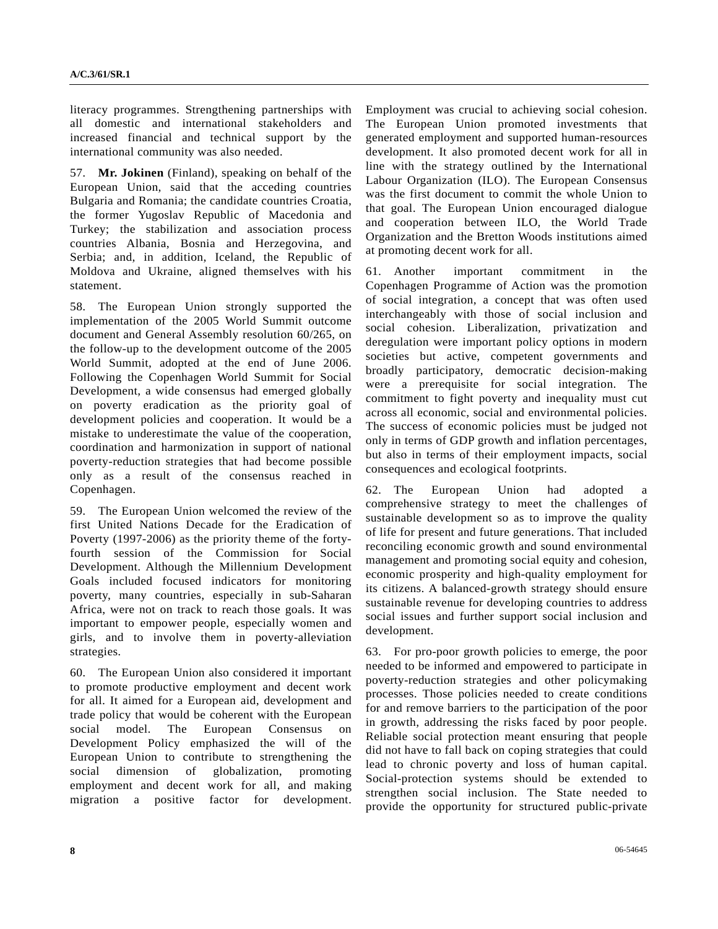literacy programmes. Strengthening partnerships with all domestic and international stakeholders and increased financial and technical support by the international community was also needed.

57. **Mr. Jokinen** (Finland), speaking on behalf of the European Union, said that the acceding countries Bulgaria and Romania; the candidate countries Croatia, the former Yugoslav Republic of Macedonia and Turkey; the stabilization and association process countries Albania, Bosnia and Herzegovina, and Serbia; and, in addition, Iceland, the Republic of Moldova and Ukraine, aligned themselves with his statement.

58. The European Union strongly supported the implementation of the 2005 World Summit outcome document and General Assembly resolution 60/265, on the follow-up to the development outcome of the 2005 World Summit, adopted at the end of June 2006. Following the Copenhagen World Summit for Social Development, a wide consensus had emerged globally on poverty eradication as the priority goal of development policies and cooperation. It would be a mistake to underestimate the value of the cooperation, coordination and harmonization in support of national poverty-reduction strategies that had become possible only as a result of the consensus reached in Copenhagen.

59. The European Union welcomed the review of the first United Nations Decade for the Eradication of Poverty (1997-2006) as the priority theme of the fortyfourth session of the Commission for Social Development. Although the Millennium Development Goals included focused indicators for monitoring poverty, many countries, especially in sub-Saharan Africa, were not on track to reach those goals. It was important to empower people, especially women and girls, and to involve them in poverty-alleviation strategies.

60. The European Union also considered it important to promote productive employment and decent work for all. It aimed for a European aid, development and trade policy that would be coherent with the European social model. The European Consensus on Development Policy emphasized the will of the European Union to contribute to strengthening the social dimension of globalization, promoting employment and decent work for all, and making migration a positive factor for development. Employment was crucial to achieving social cohesion. The European Union promoted investments that generated employment and supported human-resources development. It also promoted decent work for all in line with the strategy outlined by the International Labour Organization (ILO). The European Consensus was the first document to commit the whole Union to that goal. The European Union encouraged dialogue and cooperation between ILO, the World Trade Organization and the Bretton Woods institutions aimed at promoting decent work for all.

61. Another important commitment in the Copenhagen Programme of Action was the promotion of social integration, a concept that was often used interchangeably with those of social inclusion and social cohesion. Liberalization, privatization and deregulation were important policy options in modern societies but active, competent governments and broadly participatory, democratic decision-making were a prerequisite for social integration. The commitment to fight poverty and inequality must cut across all economic, social and environmental policies. The success of economic policies must be judged not only in terms of GDP growth and inflation percentages, but also in terms of their employment impacts, social consequences and ecological footprints.

62. The European Union had adopted a comprehensive strategy to meet the challenges of sustainable development so as to improve the quality of life for present and future generations. That included reconciling economic growth and sound environmental management and promoting social equity and cohesion, economic prosperity and high-quality employment for its citizens. A balanced-growth strategy should ensure sustainable revenue for developing countries to address social issues and further support social inclusion and development.

63. For pro-poor growth policies to emerge, the poor needed to be informed and empowered to participate in poverty-reduction strategies and other policymaking processes. Those policies needed to create conditions for and remove barriers to the participation of the poor in growth, addressing the risks faced by poor people. Reliable social protection meant ensuring that people did not have to fall back on coping strategies that could lead to chronic poverty and loss of human capital. Social-protection systems should be extended to strengthen social inclusion. The State needed to provide the opportunity for structured public-private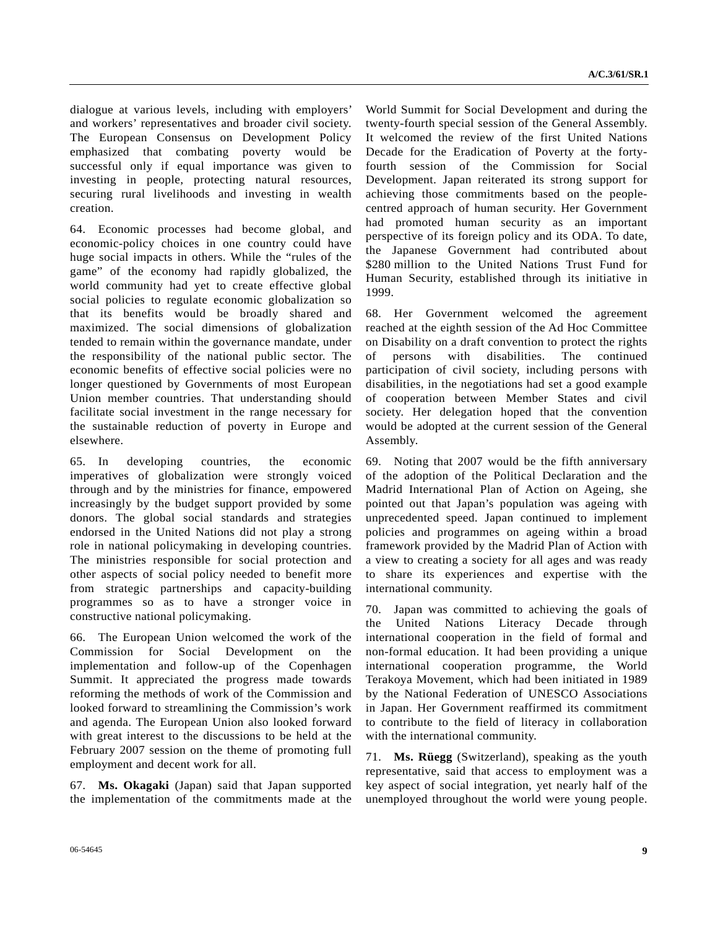dialogue at various levels, including with employers' and workers' representatives and broader civil society. The European Consensus on Development Policy emphasized that combating poverty would be successful only if equal importance was given to investing in people, protecting natural resources, securing rural livelihoods and investing in wealth creation.

64. Economic processes had become global, and economic-policy choices in one country could have huge social impacts in others. While the "rules of the game" of the economy had rapidly globalized, the world community had yet to create effective global social policies to regulate economic globalization so that its benefits would be broadly shared and maximized. The social dimensions of globalization tended to remain within the governance mandate, under the responsibility of the national public sector. The economic benefits of effective social policies were no longer questioned by Governments of most European Union member countries. That understanding should facilitate social investment in the range necessary for the sustainable reduction of poverty in Europe and elsewhere.

65. In developing countries, the economic imperatives of globalization were strongly voiced through and by the ministries for finance, empowered increasingly by the budget support provided by some donors. The global social standards and strategies endorsed in the United Nations did not play a strong role in national policymaking in developing countries. The ministries responsible for social protection and other aspects of social policy needed to benefit more from strategic partnerships and capacity-building programmes so as to have a stronger voice in constructive national policymaking.

66. The European Union welcomed the work of the Commission for Social Development on the implementation and follow-up of the Copenhagen Summit. It appreciated the progress made towards reforming the methods of work of the Commission and looked forward to streamlining the Commission's work and agenda. The European Union also looked forward with great interest to the discussions to be held at the February 2007 session on the theme of promoting full employment and decent work for all.

67. **Ms. Okagaki** (Japan) said that Japan supported the implementation of the commitments made at the

World Summit for Social Development and during the twenty-fourth special session of the General Assembly. It welcomed the review of the first United Nations Decade for the Eradication of Poverty at the fortyfourth session of the Commission for Social Development. Japan reiterated its strong support for achieving those commitments based on the peoplecentred approach of human security. Her Government had promoted human security as an important perspective of its foreign policy and its ODA. To date, the Japanese Government had contributed about \$280 million to the United Nations Trust Fund for Human Security, established through its initiative in 1999.

68. Her Government welcomed the agreement reached at the eighth session of the Ad Hoc Committee on Disability on a draft convention to protect the rights of persons with disabilities. The continued participation of civil society, including persons with disabilities, in the negotiations had set a good example of cooperation between Member States and civil society. Her delegation hoped that the convention would be adopted at the current session of the General Assembly.

69. Noting that 2007 would be the fifth anniversary of the adoption of the Political Declaration and the Madrid International Plan of Action on Ageing, she pointed out that Japan's population was ageing with unprecedented speed. Japan continued to implement policies and programmes on ageing within a broad framework provided by the Madrid Plan of Action with a view to creating a society for all ages and was ready to share its experiences and expertise with the international community.

70. Japan was committed to achieving the goals of the United Nations Literacy Decade through international cooperation in the field of formal and non-formal education. It had been providing a unique international cooperation programme, the World Terakoya Movement, which had been initiated in 1989 by the National Federation of UNESCO Associations in Japan. Her Government reaffirmed its commitment to contribute to the field of literacy in collaboration with the international community.

71. **Ms. Rüegg** (Switzerland), speaking as the youth representative, said that access to employment was a key aspect of social integration, yet nearly half of the unemployed throughout the world were young people.